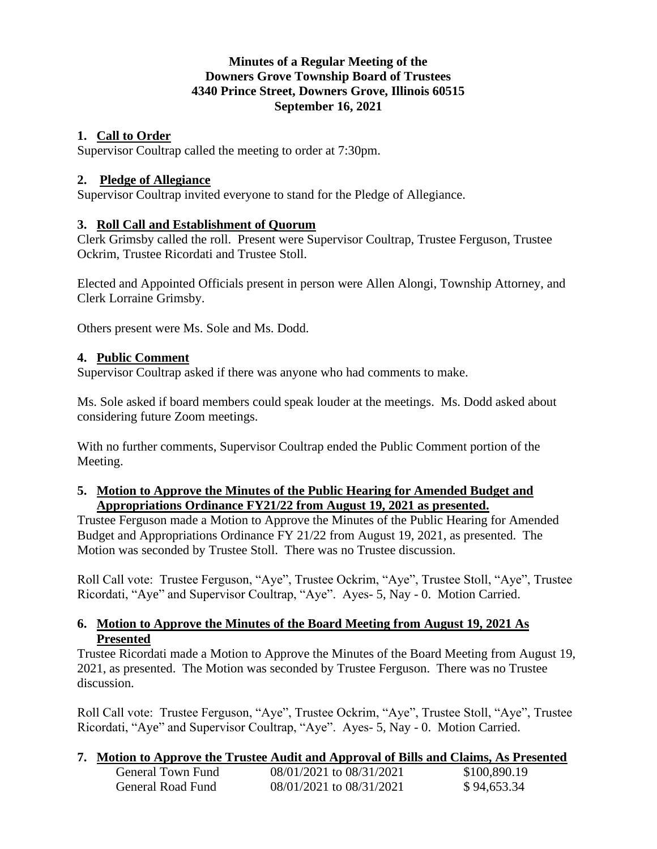## **Minutes of a Regular Meeting of the Downers Grove Township Board of Trustees 4340 Prince Street, Downers Grove, Illinois 60515 September 16, 2021**

# **1. Call to Order**

Supervisor Coultrap called the meeting to order at 7:30pm.

## **2. Pledge of Allegiance**

Supervisor Coultrap invited everyone to stand for the Pledge of Allegiance.

## **3. Roll Call and Establishment of Quorum**

Clerk Grimsby called the roll. Present were Supervisor Coultrap, Trustee Ferguson, Trustee Ockrim, Trustee Ricordati and Trustee Stoll.

Elected and Appointed Officials present in person were Allen Alongi, Township Attorney, and Clerk Lorraine Grimsby.

Others present were Ms. Sole and Ms. Dodd.

## **4. Public Comment**

Supervisor Coultrap asked if there was anyone who had comments to make.

Ms. Sole asked if board members could speak louder at the meetings. Ms. Dodd asked about considering future Zoom meetings.

With no further comments, Supervisor Coultrap ended the Public Comment portion of the Meeting.

### **5. Motion to Approve the Minutes of the Public Hearing for Amended Budget and Appropriations Ordinance FY21/22 from August 19, 2021 as presented.**

Trustee Ferguson made a Motion to Approve the Minutes of the Public Hearing for Amended Budget and Appropriations Ordinance FY 21/22 from August 19, 2021, as presented. The Motion was seconded by Trustee Stoll. There was no Trustee discussion.

Roll Call vote: Trustee Ferguson, "Aye", Trustee Ockrim, "Aye", Trustee Stoll, "Aye", Trustee Ricordati, "Aye" and Supervisor Coultrap, "Aye". Ayes- 5, Nay - 0. Motion Carried.

## **6. Motion to Approve the Minutes of the Board Meeting from August 19, 2021 As Presented**

Trustee Ricordati made a Motion to Approve the Minutes of the Board Meeting from August 19, 2021, as presented. The Motion was seconded by Trustee Ferguson. There was no Trustee discussion.

Roll Call vote: Trustee Ferguson, "Aye", Trustee Ockrim, "Aye", Trustee Stoll, "Aye", Trustee Ricordati, "Aye" and Supervisor Coultrap, "Aye". Ayes- 5, Nay - 0. Motion Carried.

## **7. Motion to Approve the Trustee Audit and Approval of Bills and Claims, As Presented**

| General Town Fund | 08/01/2021 to 08/31/2021 | \$100,890.19 |
|-------------------|--------------------------|--------------|
| General Road Fund | 08/01/2021 to 08/31/2021 | \$94,653.34  |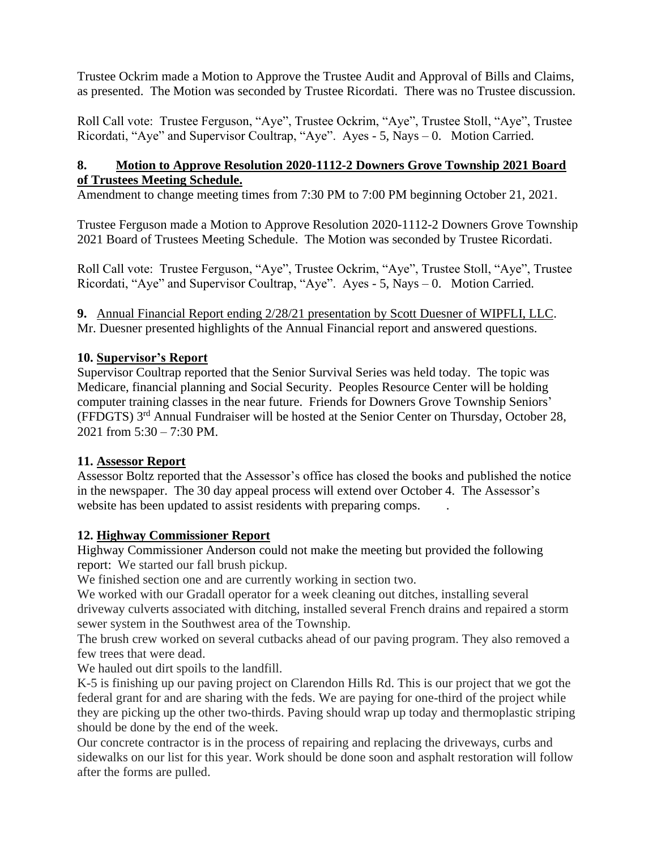Trustee Ockrim made a Motion to Approve the Trustee Audit and Approval of Bills and Claims, as presented. The Motion was seconded by Trustee Ricordati. There was no Trustee discussion.

Roll Call vote: Trustee Ferguson, "Aye", Trustee Ockrim, "Aye", Trustee Stoll, "Aye", Trustee Ricordati, "Aye" and Supervisor Coultrap, "Aye". Ayes - 5, Nays – 0. Motion Carried.

## **8. Motion to Approve Resolution 2020-1112-2 Downers Grove Township 2021 Board of Trustees Meeting Schedule.**

Amendment to change meeting times from 7:30 PM to 7:00 PM beginning October 21, 2021.

Trustee Ferguson made a Motion to Approve Resolution 2020-1112-2 Downers Grove Township 2021 Board of Trustees Meeting Schedule. The Motion was seconded by Trustee Ricordati.

Roll Call vote: Trustee Ferguson, "Aye", Trustee Ockrim, "Aye", Trustee Stoll, "Aye", Trustee Ricordati, "Aye" and Supervisor Coultrap, "Aye". Ayes - 5, Nays – 0. Motion Carried.

**9.** Annual Financial Report ending 2/28/21 presentation by Scott Duesner of WIPFLI, LLC. Mr. Duesner presented highlights of the Annual Financial report and answered questions.

# **10. Supervisor's Report**

Supervisor Coultrap reported that the Senior Survival Series was held today. The topic was Medicare, financial planning and Social Security. Peoples Resource Center will be holding computer training classes in the near future. Friends for Downers Grove Township Seniors' (FFDGTS) 3rd Annual Fundraiser will be hosted at the Senior Center on Thursday, October 28, 2021 from 5:30 – 7:30 PM.

## **11. Assessor Report**

Assessor Boltz reported that the Assessor's office has closed the books and published the notice in the newspaper. The 30 day appeal process will extend over October 4. The Assessor's website has been updated to assist residents with preparing comps.

## **12. Highway Commissioner Report**

Highway Commissioner Anderson could not make the meeting but provided the following report: We started our fall brush pickup.

We finished section one and are currently working in section two.

We worked with our Gradall operator for a week cleaning out ditches, installing several driveway culverts associated with ditching, installed several French drains and repaired a storm sewer system in the Southwest area of the Township.

The brush crew worked on several cutbacks ahead of our paving program. They also removed a few trees that were dead.

We hauled out dirt spoils to the landfill.

K-5 is finishing up our paving project on Clarendon Hills Rd. This is our project that we got the federal grant for and are sharing with the feds. We are paying for one-third of the project while they are picking up the other two-thirds. Paving should wrap up today and thermoplastic striping should be done by the end of the week.

Our concrete contractor is in the process of repairing and replacing the driveways, curbs and sidewalks on our list for this year. Work should be done soon and asphalt restoration will follow after the forms are pulled.